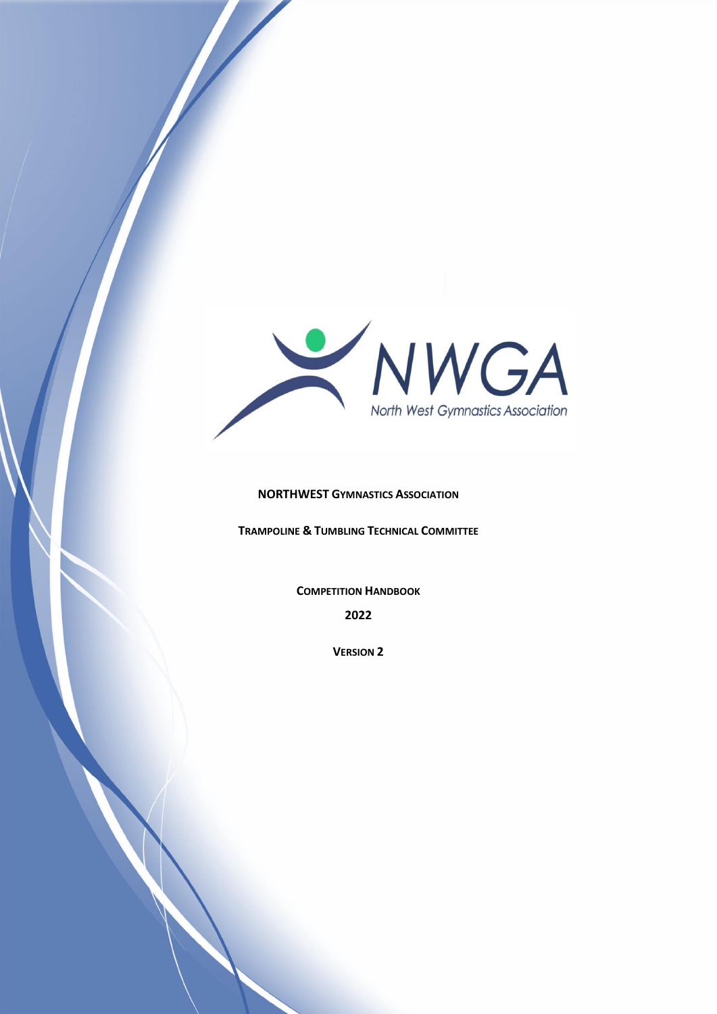

#### **NORTHWEST GYMNASTICS ASSOCIATION**

**TRAMPOLINE & TUMBLING TECHNICAL COMMITTEE**

**COMPETITION HANDBOOK 2022**

**VERSION 2**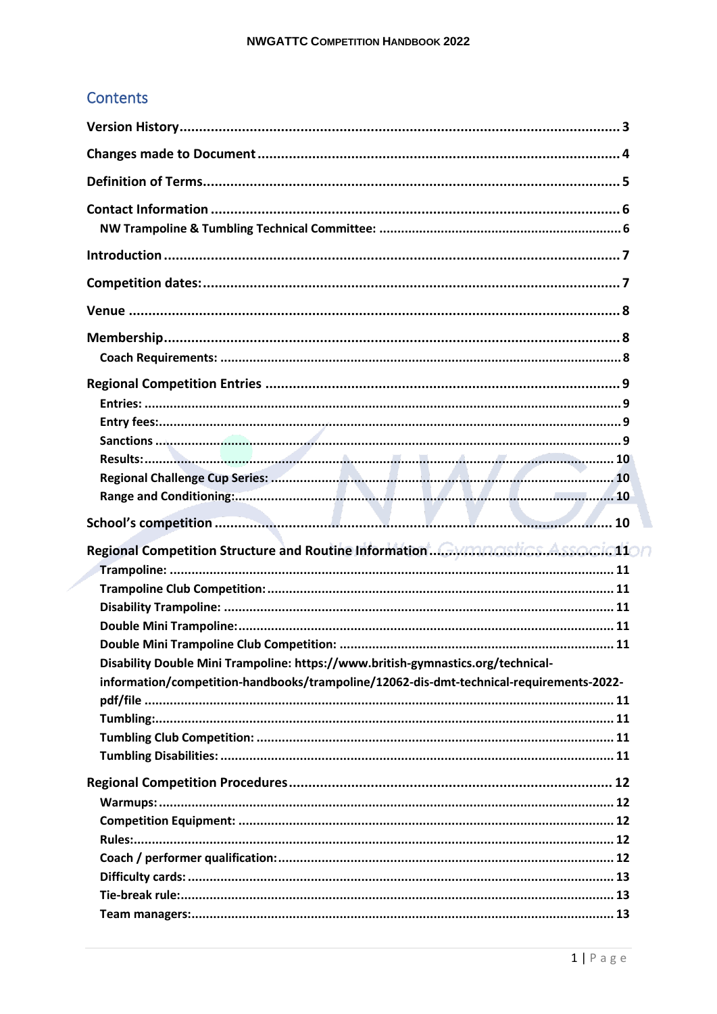## **Contents**

| Disability Double Mini Trampoline: https://www.british-gymnastics.org/technical-        |  |
|-----------------------------------------------------------------------------------------|--|
| information/competition-handbooks/trampoline/12062-dis-dmt-technical-requirements-2022- |  |
|                                                                                         |  |
|                                                                                         |  |
|                                                                                         |  |
|                                                                                         |  |
|                                                                                         |  |
|                                                                                         |  |
|                                                                                         |  |
|                                                                                         |  |
|                                                                                         |  |
|                                                                                         |  |
|                                                                                         |  |
|                                                                                         |  |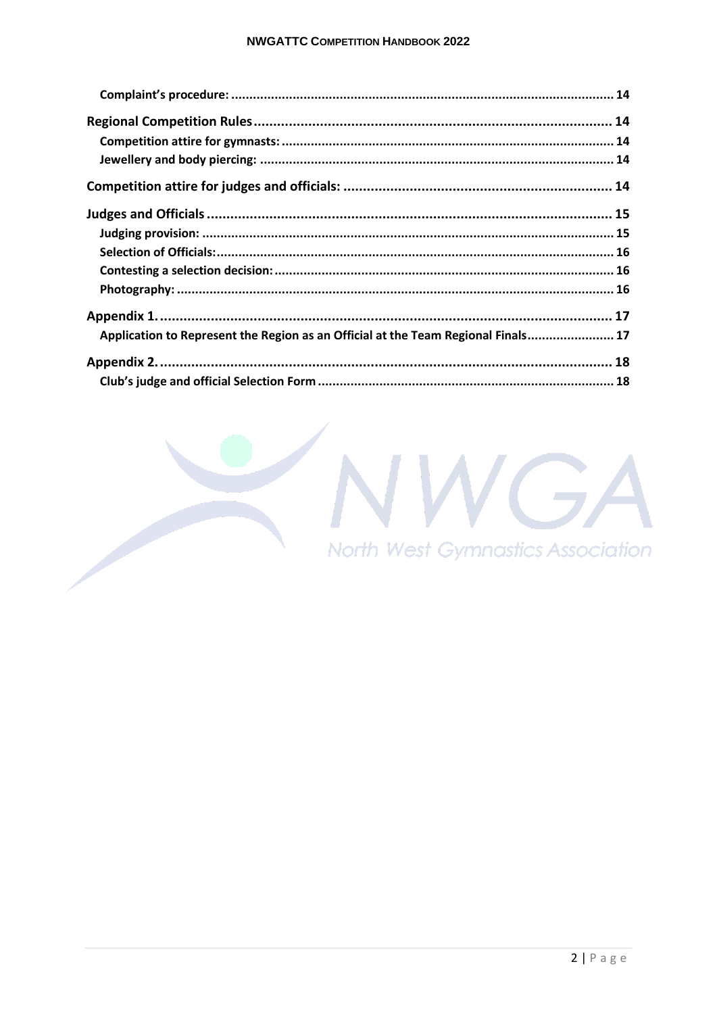| Application to Represent the Region as an Official at the Team Regional Finals 17 |  |
|-----------------------------------------------------------------------------------|--|
|                                                                                   |  |
|                                                                                   |  |

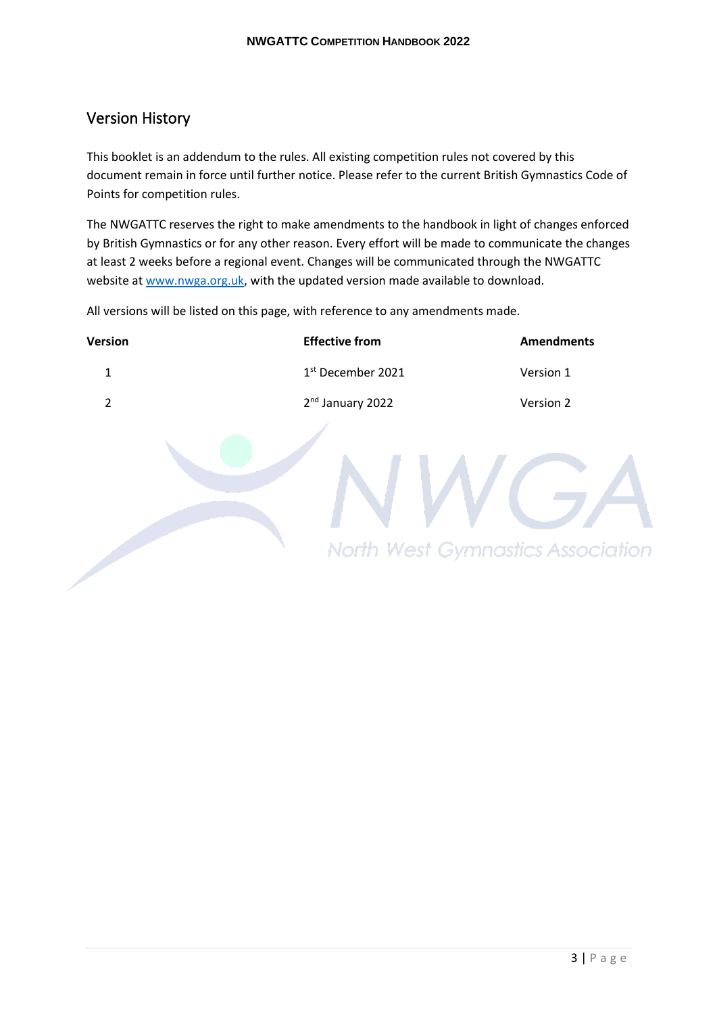### <span id="page-3-0"></span>Version History

This booklet is an addendum to the rules. All existing competition rules not covered by this document remain in force until further notice. Please refer to the current British Gymnastics Code of Points for competition rules.

The NWGATTC reserves the right to make amendments to the handbook in light of changes enforced by British Gymnastics or for any other reason. Every effort will be made to communicate the changes at least 2 weeks before a regional event. Changes will be communicated through the NWGATTC website at www.nwga.org.uk, with the updated version made available to download.

All versions will be listed on this page, with reference to any amendments made.

| Version        | <b>Effective from</b>                    | <b>Amendments</b> |
|----------------|------------------------------------------|-------------------|
| $\mathbf 1$    | 1st December 2021                        | Version 1         |
| $\overline{2}$ | 2 <sup>nd</sup> January 2022             | Version 2         |
|                | <b>North West Gymnastics Association</b> |                   |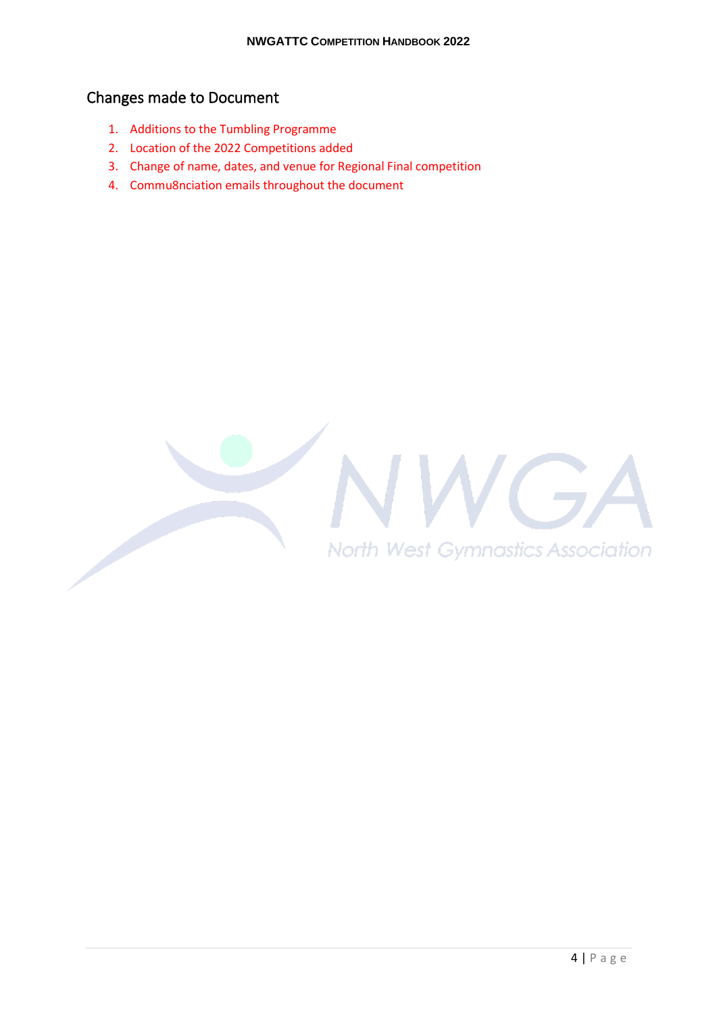## <span id="page-4-0"></span>Changes made to Document

- 1. Additions to the Tumbling Programme
- 2. Location of the 2022 Competitions added
- 3. Change of name, dates, and venue for Regional Final competition
- 4. Commu8nciation emails throughout the document

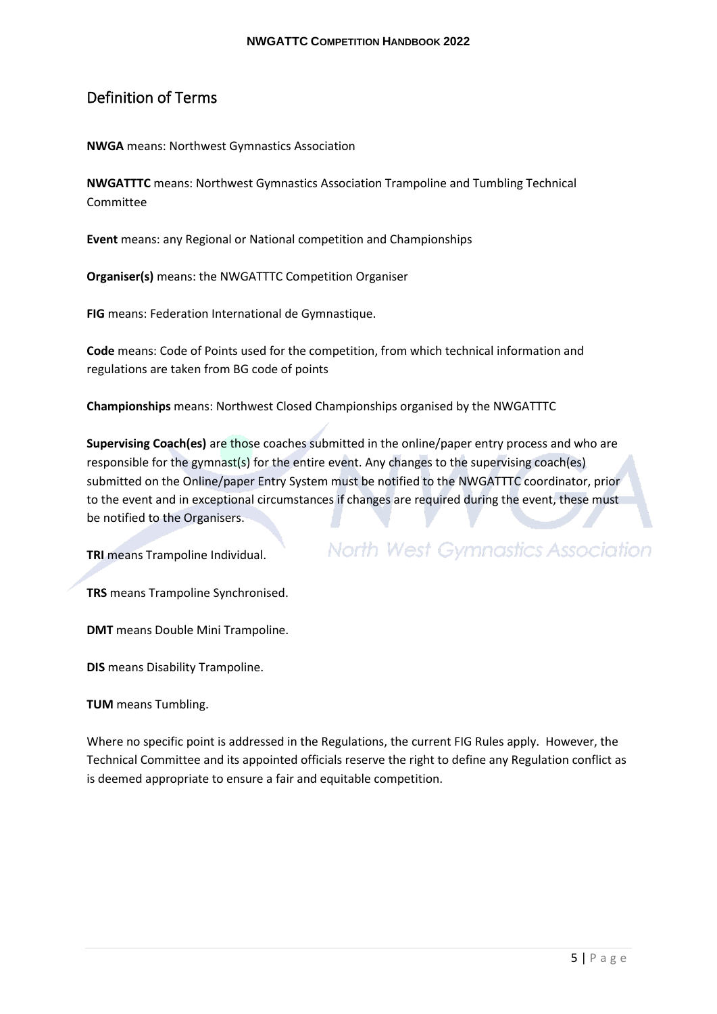### <span id="page-5-0"></span>Definition of Terms

**NWGA** means: Northwest Gymnastics Association

**NWGATTTC** means: Northwest Gymnastics Association Trampoline and Tumbling Technical Committee

**Event** means: any Regional or National competition and Championships

**Organiser(s)** means: the NWGATTTC Competition Organiser

**FIG** means: Federation International de Gymnastique.

**Code** means: Code of Points used for the competition, from which technical information and regulations are taken from BG code of points

**Championships** means: Northwest Closed Championships organised by the NWGATTTC

**Supervising Coach(es)** are those coaches submitted in the online/paper entry process and who are responsible for the gymnast(s) for the entire event. Any changes to the supervising coach(es) submitted on the Online/paper Entry System must be notified to the NWGATTTC coordinator, prior to the event and in exceptional circumstances if changes are required during the event, these must be notified to the Organisers.

**TRI** means Trampoline Individual.

**North West Gymnastics Association** 

**TRS** means Trampoline Synchronised.

**DMT** means Double Mini Trampoline.

**DIS** means Disability Trampoline.

**TUM** means Tumbling.

Where no specific point is addressed in the Regulations, the current FIG Rules apply. However, the Technical Committee and its appointed officials reserve the right to define any Regulation conflict as is deemed appropriate to ensure a fair and equitable competition.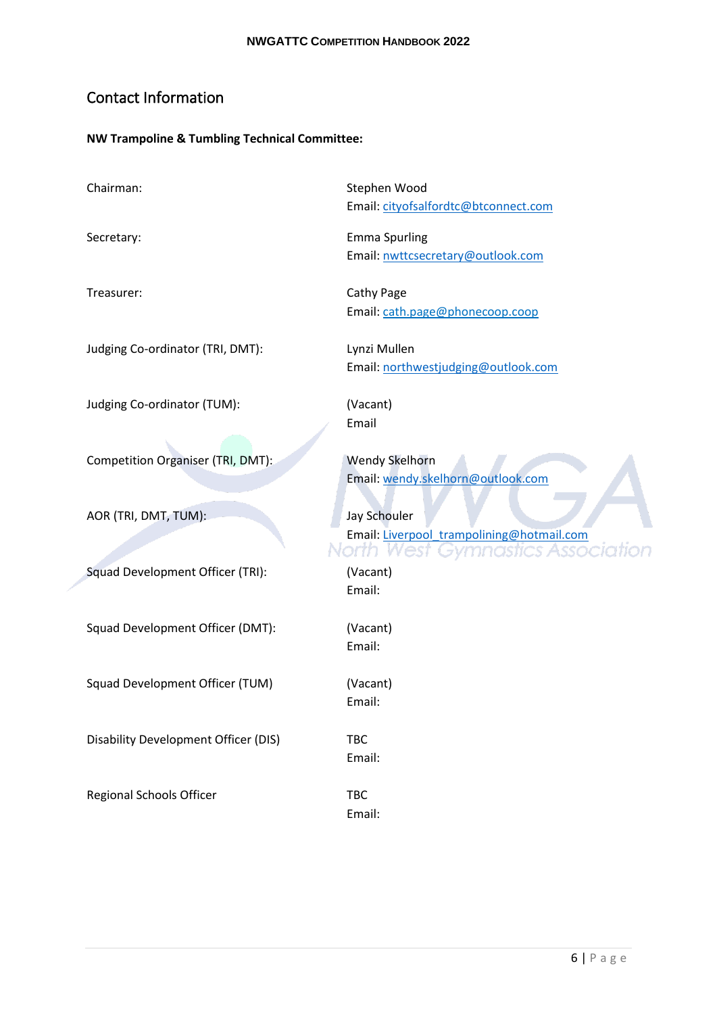## <span id="page-6-0"></span>Contact Information

#### <span id="page-6-1"></span>**NW Trampoline & Tumbling Technical Committee:**

Chairman: Stephen Wood Email: cityofsalfordtc@btconnect.com Secretary: Emma Spurling Email: nwttcsecretary@outlook.com Treasurer: Cathy Page Email: cath.page@phonecoop.coop Judging Co-ordinator (TRI, DMT): Lynzi Mullen Email: northwestjudging@outlook.com Judging Co-ordinator (TUM): (Vacant) Email Competition Organiser (TRI, DMT): Wendy Skelhorn Email: wendy.skelhorn@outlook.com AOR (TRI, DMT, TUM): Jay Schouler Email: Liverpool\_trampolining@hotmail.com North West Gymnastics Association Squad Development Officer (TRI): (Vacant) Email: Squad Development Officer (DMT): (Vacant) Email: Squad Development Officer (TUM) (Vacant) Email: Disability Development Officer (DIS) TBC Email: Regional Schools Officer TBC Email: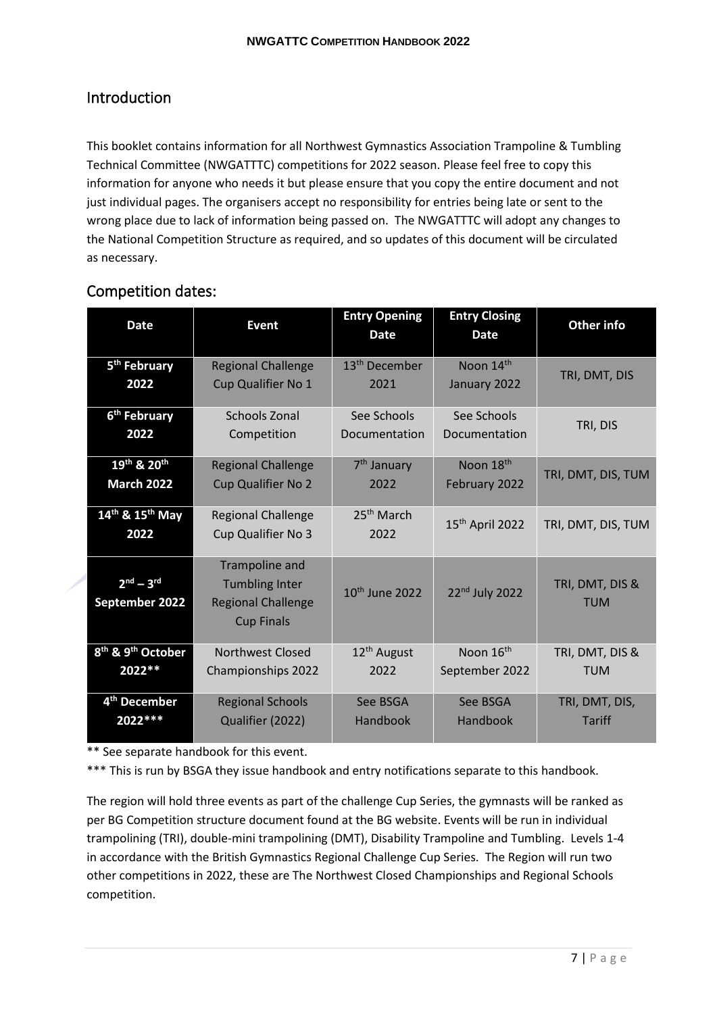## <span id="page-7-0"></span>Introduction

This booklet contains information for all Northwest Gymnastics Association Trampoline & Tumbling Technical Committee (NWGATTTC) competitions for 2022 season. Please feel free to copy this information for anyone who needs it but please ensure that you copy the entire document and not just individual pages. The organisers accept no responsibility for entries being late or sent to the wrong place due to lack of information being passed on. The NWGATTTC will adopt any changes to the National Competition Structure as required, and so updates of this document will be circulated as necessary.

## <span id="page-7-1"></span>Competition dates:

| <b>Date</b>                               | <b>Event</b>                                   | <b>Entry Opening</b><br><b>Date</b> | <b>Entry Closing</b><br><b>Date</b> | Other info         |
|-------------------------------------------|------------------------------------------------|-------------------------------------|-------------------------------------|--------------------|
| 5 <sup>th</sup> February                  | <b>Regional Challenge</b>                      | 13 <sup>th</sup> December           | Noon 14th                           | TRI, DMT, DIS      |
| 2022                                      | Cup Qualifier No 1                             | 2021                                | January 2022                        |                    |
| 6 <sup>th</sup> February                  | <b>Schools Zonal</b>                           | See Schools                         | See Schools                         | TRI, DIS           |
| 2022                                      | Competition                                    | Documentation                       | Documentation                       |                    |
| 19th & 20th                               | <b>Regional Challenge</b>                      | 7 <sup>th</sup> January             | Noon 18 <sup>th</sup>               | TRI, DMT, DIS, TUM |
| <b>March 2022</b>                         | <b>Cup Qualifier No 2</b>                      | 2022                                | February 2022                       |                    |
| $14^{th}$ & $15^{th}$ May                 | <b>Regional Challenge</b>                      | 25 <sup>th</sup> March              | 15 <sup>th</sup> April 2022         | TRI, DMT, DIS, TUM |
| 2022                                      | Cup Qualifier No 3                             | 2022                                |                                     |                    |
|                                           | Trampoline and                                 |                                     |                                     |                    |
| $2nd - 3rd$                               | <b>Tumbling Inter</b>                          | 10 <sup>th</sup> June 2022          | 22 <sup>nd</sup> July 2022          | TRI, DMT, DIS &    |
| September 2022                            | <b>Regional Challenge</b><br><b>Cup Finals</b> |                                     |                                     | <b>TUM</b>         |
| 8 <sup>th</sup> & 9 <sup>th</sup> October | <b>Northwest Closed</b>                        | $12th$ August                       | Noon 16 <sup>th</sup>               | TRI, DMT, DIS &    |
| 2022 **                                   | Championships 2022                             | 2022                                | September 2022                      | <b>TUM</b>         |
| 4 <sup>th</sup> December                  | <b>Regional Schools</b>                        | See BSGA                            | See BSGA                            | TRI, DMT, DIS,     |
| 2022 ***                                  | Qualifier (2022)                               | Handbook                            | Handbook                            | <b>Tariff</b>      |

\*\* See separate handbook for this event.

\*\*\* This is run by BSGA they issue handbook and entry notifications separate to this handbook.

The region will hold three events as part of the challenge Cup Series, the gymnasts will be ranked as per BG Competition structure document found at the BG website. Events will be run in individual trampolining (TRI), double-mini trampolining (DMT), Disability Trampoline and Tumbling. Levels 1-4 in accordance with the British Gymnastics Regional Challenge Cup Series. The Region will run two other competitions in 2022, these are The Northwest Closed Championships and Regional Schools competition.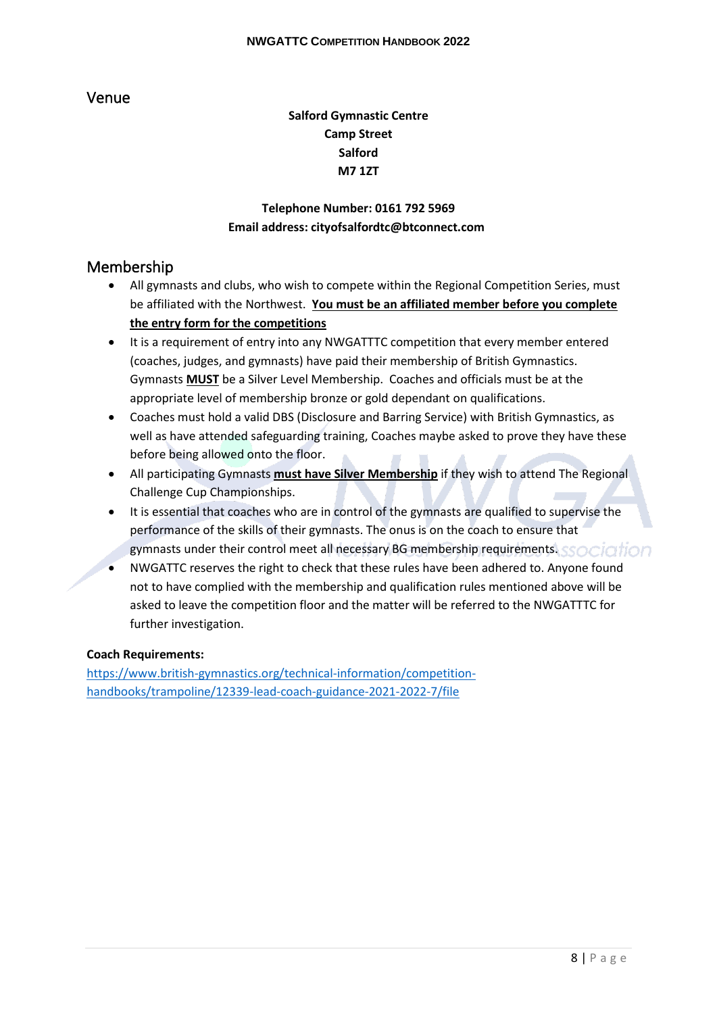### <span id="page-8-0"></span>Venue

### **Salford Gymnastic Centre Camp Street Salford M7 1ZT**

### **Telephone Number: 0161 792 5969 Email address: cityofsalfordtc@btconnect.com**

### <span id="page-8-1"></span>Membership

- All gymnasts and clubs, who wish to compete within the Regional Competition Series, must be affiliated with the Northwest. **You must be an affiliated member before you complete the entry form for the competitions**
- It is a requirement of entry into any NWGATTTC competition that every member entered (coaches, judges, and gymnasts) have paid their membership of British Gymnastics. Gymnasts **MUST** be a Silver Level Membership. Coaches and officials must be at the appropriate level of membership bronze or gold dependant on qualifications.
- Coaches must hold a valid DBS (Disclosure and Barring Service) with British Gymnastics, as well as have attended safeguarding training, Coaches maybe asked to prove they have these before being allowed onto the floor.
- All participating Gymnasts **must have Silver Membership** if they wish to attend The Regional Challenge Cup Championships.
- It is essential that coaches who are in control of the gymnasts are qualified to supervise the performance of the skills of their gymnasts. The onus is on the coach to ensure that gymnasts under their control meet all necessary BG membership requirements.
- NWGATTC reserves the right to check that these rules have been adhered to. Anyone found not to have complied with the membership and qualification rules mentioned above will be asked to leave the competition floor and the matter will be referred to the NWGATTTC for further investigation.

#### <span id="page-8-2"></span>**Coach Requirements:**

https://www.british-gymnastics.org/technical-information/competitionhandbooks/trampoline/12339-lead-coach-guidance-2021-2022-7/file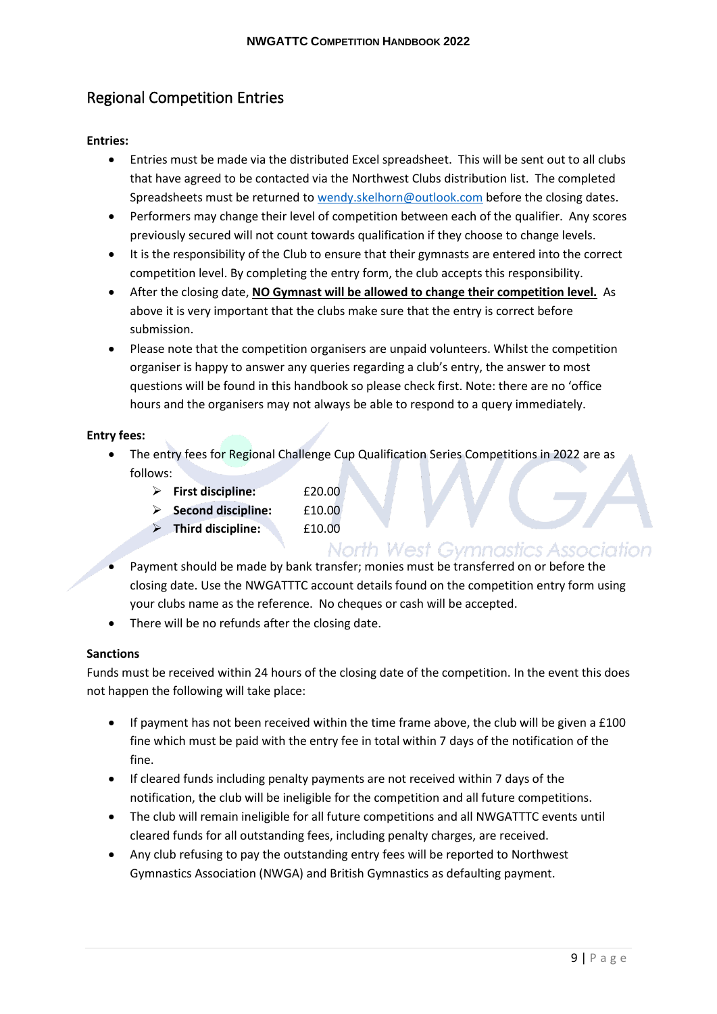## <span id="page-9-0"></span>Regional Competition Entries

#### <span id="page-9-1"></span>**Entries:**

- Entries must be made via the distributed Excel spreadsheet. This will be sent out to all clubs that have agreed to be contacted via the Northwest Clubs distribution list. The completed Spreadsheets must be returned to wendy.skelhorn@outlook.com before the closing dates.
- Performers may change their level of competition between each of the qualifier. Any scores previously secured will not count towards qualification if they choose to change levels.
- It is the responsibility of the Club to ensure that their gymnasts are entered into the correct competition level. By completing the entry form, the club accepts this responsibility.
- After the closing date, **NO Gymnast will be allowed to change their competition level.** As above it is very important that the clubs make sure that the entry is correct before submission.
- Please note that the competition organisers are unpaid volunteers. Whilst the competition organiser is happy to answer any queries regarding a club's entry, the answer to most questions will be found in this handbook so please check first. Note: there are no 'office hours and the organisers may not always be able to respond to a query immediately.

#### <span id="page-9-2"></span>**Entry fees:**

- The entry fees for Regional Challenge Cup Qualification Series Competitions in 2022 are as follows:
	- ➢ **First discipline:** £20.00
	- ➢ **Second discipline:** £10.00
	- ➢ **Third discipline:** £10.00

### North West Gymnastics Association

- Payment should be made by bank transfer; monies must be transferred on or before the closing date. Use the NWGATTTC account details found on the competition entry form using your clubs name as the reference. No cheques or cash will be accepted.
- There will be no refunds after the closing date.

#### <span id="page-9-3"></span>**Sanctions**

Funds must be received within 24 hours of the closing date of the competition. In the event this does not happen the following will take place:

- If payment has not been received within the time frame above, the club will be given a £100 fine which must be paid with the entry fee in total within 7 days of the notification of the fine.
- If cleared funds including penalty payments are not received within 7 days of the notification, the club will be ineligible for the competition and all future competitions.
- The club will remain ineligible for all future competitions and all NWGATTTC events until cleared funds for all outstanding fees, including penalty charges, are received.
- Any club refusing to pay the outstanding entry fees will be reported to Northwest Gymnastics Association (NWGA) and British Gymnastics as defaulting payment.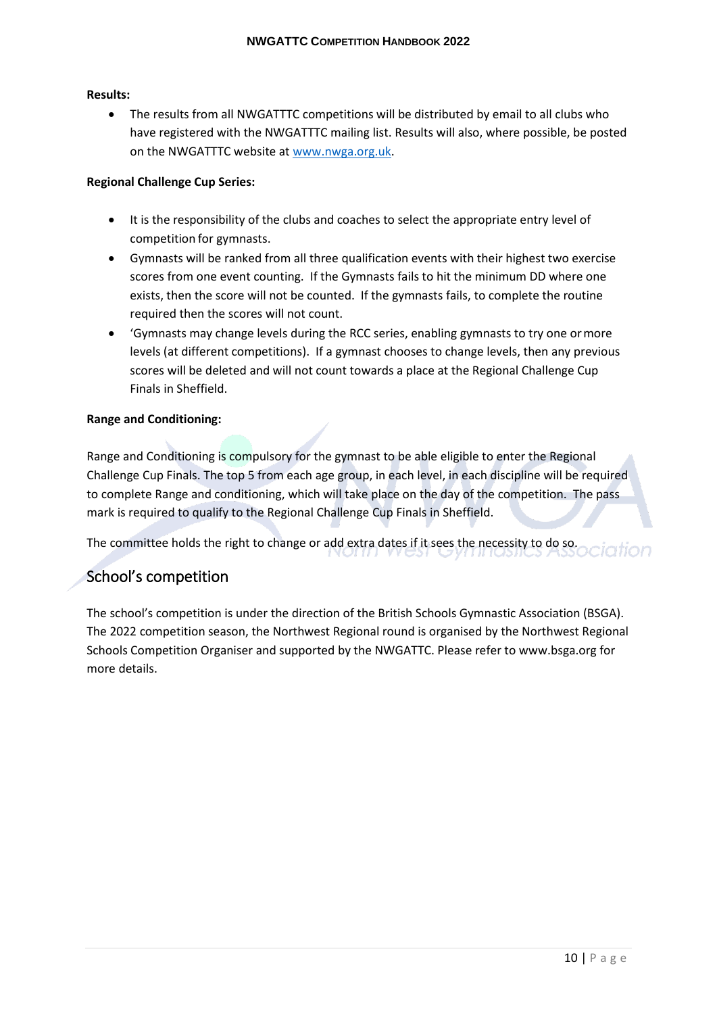#### <span id="page-10-0"></span>**Results:**

• The results from all NWGATTTC competitions will be distributed by email to all clubs who have registered with the NWGATTTC mailing list. Results will also, where possible, be posted on the NWGATTTC website at www.nwga.org.uk.

#### <span id="page-10-1"></span>**Regional Challenge Cup Series:**

- It is the responsibility of the clubs and coaches to select the appropriate entry level of competition for gymnasts.
- Gymnasts will be ranked from all three qualification events with their highest two exercise scores from one event counting. If the Gymnasts fails to hit the minimum DD where one exists, then the score will not be counted. If the gymnasts fails, to complete the routine required then the scores will not count.
- 'Gymnasts may change levels during the RCC series, enabling gymnasts to try one ormore levels (at different competitions). If a gymnast chooses to change levels, then any previous scores will be deleted and will not count towards a place at the Regional Challenge Cup Finals in Sheffield.

#### <span id="page-10-2"></span>**Range and Conditioning:**

Range and Conditioning is compulsory for the gymnast to be able eligible to enter the Regional Challenge Cup Finals. The top 5 from each age group, in each level, in each discipline will be required to complete Range and conditioning, which will take place on the day of the competition. The pass mark is required to qualify to the Regional Challenge Cup Finals in Sheffield.

The committee holds the right to change or add extra dates if it sees the necessity to do so.

### <span id="page-10-3"></span>School's competition

The school's competition is under the direction of the British Schools Gymnastic Association (BSGA). The 2022 competition season, the Northwest Regional round is organised by the Northwest Regional Schools Competition Organiser and supported by the NWGATTC. Please refer to www.bsga.org for more details.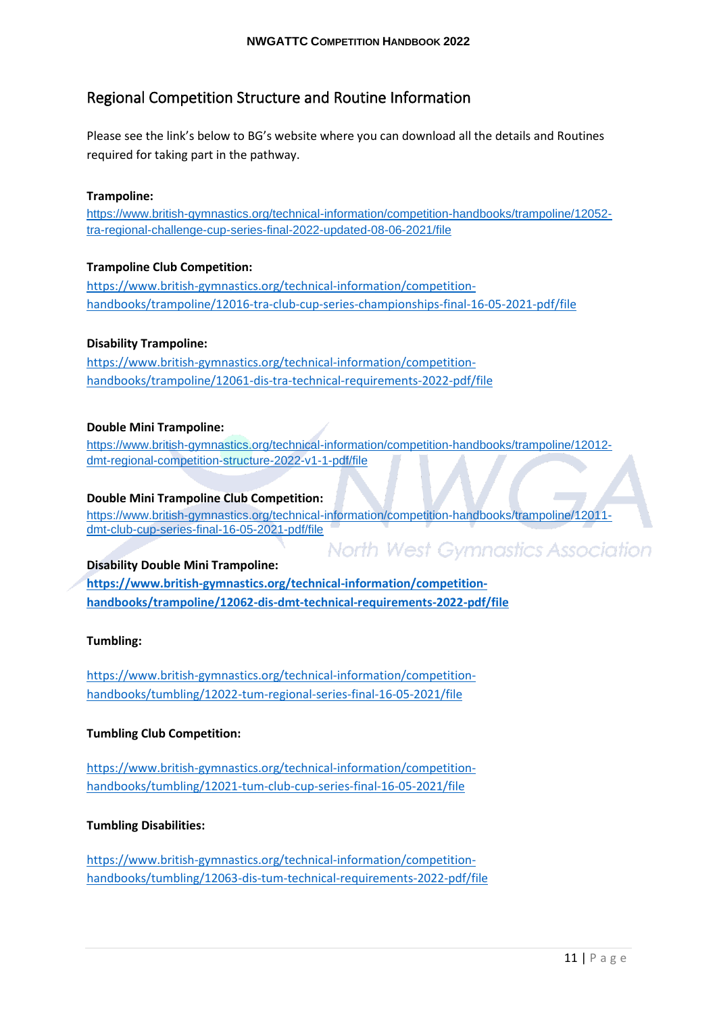### <span id="page-11-0"></span>Regional Competition Structure and Routine Information

Please see the link's below to BG's website where you can download all the details and Routines required for taking part in the pathway.

#### <span id="page-11-1"></span>**Trampoline:**

https://www.british-gymnastics.org/technical-information/competition-handbooks/trampoline/12052 tra-regional-challenge-cup-series-final-2022-updated-08-06-2021/file

#### <span id="page-11-2"></span>**Trampoline Club Competition:**

https://www.british-gymnastics.org/technical-information/competitionhandbooks/trampoline/12016-tra-club-cup-series-championships-final-16-05-2021-pdf/file

#### <span id="page-11-3"></span>**Disability Trampoline:**

https://www.british-gymnastics.org/technical-information/competitionhandbooks/trampoline/12061-dis-tra-technical-requirements-2022-pdf/file

#### <span id="page-11-4"></span>**Double Mini Trampoline:**

https://www.british-gymnastics.org/technical-information/competition-handbooks/trampoline/12012 dmt-regional-competition-structure-2022-v1-1-pdf/file

#### <span id="page-11-5"></span>**Double Mini Trampoline Club Competition:**

https://www.british-gymnastics.org/technical-information/competition-handbooks/trampoline/12011 dmt-club-cup-series-final-16-05-2021-pdf/file

**North West Gymnastics Association** 

#### <span id="page-11-6"></span>**Disability Double Mini Trampoline:**

**https://www.british-gymnastics.org/technical-information/competitionhandbooks/trampoline/12062-dis-dmt-technical-requirements-2022-pdf/file**

#### <span id="page-11-7"></span>**Tumbling:**

https://www.british-gymnastics.org/technical-information/competitionhandbooks/tumbling/12022-tum-regional-series-final-16-05-2021/file

#### <span id="page-11-8"></span>**Tumbling Club Competition:**

https://www.british-gymnastics.org/technical-information/competitionhandbooks/tumbling/12021-tum-club-cup-series-final-16-05-2021/file

#### <span id="page-11-9"></span>**Tumbling Disabilities:**

https://www.british-gymnastics.org/technical-information/competitionhandbooks/tumbling/12063-dis-tum-technical-requirements-2022-pdf/file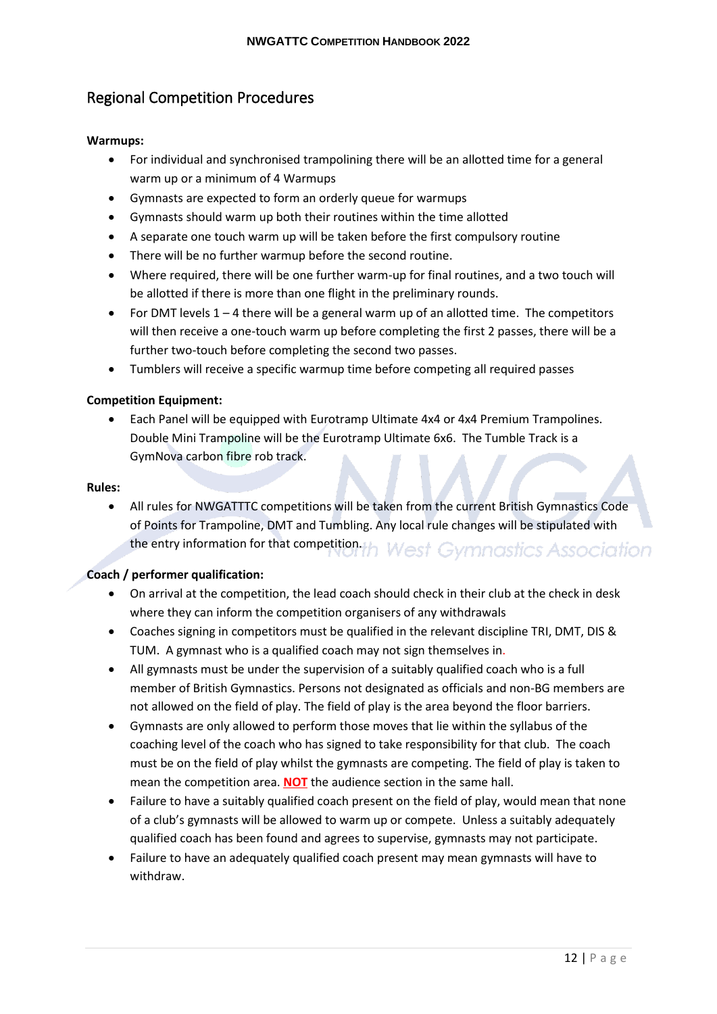### <span id="page-12-0"></span>Regional Competition Procedures

#### <span id="page-12-1"></span>**Warmups:**

- For individual and synchronised trampolining there will be an allotted time for a general warm up or a minimum of 4 Warmups
- Gymnasts are expected to form an orderly queue for warmups
- Gymnasts should warm up both their routines within the time allotted
- A separate one touch warm up will be taken before the first compulsory routine
- There will be no further warmup before the second routine.
- Where required, there will be one further warm-up for final routines, and a two touch will be allotted if there is more than one flight in the preliminary rounds.
- For DMT levels  $1 4$  there will be a general warm up of an allotted time. The competitors will then receive a one-touch warm up before completing the first 2 passes, there will be a further two-touch before completing the second two passes.
- Tumblers will receive a specific warmup time before competing all required passes

#### <span id="page-12-2"></span>**Competition Equipment:**

• Each Panel will be equipped with Eurotramp Ultimate 4x4 or 4x4 Premium Trampolines. Double Mini Trampoline will be the Eurotramp Ultimate 6x6. The Tumble Track is a GymNova carbon fibre rob track.

#### <span id="page-12-3"></span>**Rules:**

• All rules for NWGATTTC competitions will be taken from the current British Gymnastics Code of Points for Trampoline, DMT and Tumbling. Any local rule changes will be stipulated with the entry information for that competition. **West Gymnastics Association** 

#### <span id="page-12-4"></span>**Coach / performer qualification:**

- On arrival at the competition, the lead coach should check in their club at the check in desk where they can inform the competition organisers of any withdrawals
- Coaches signing in competitors must be qualified in the relevant discipline TRI, DMT, DIS & TUM. A gymnast who is a qualified coach may not sign themselves in.
- All gymnasts must be under the supervision of a suitably qualified coach who is a full member of British Gymnastics. Persons not designated as officials and non-BG members are not allowed on the field of play. The field of play is the area beyond the floor barriers.
- Gymnasts are only allowed to perform those moves that lie within the syllabus of the coaching level of the coach who has signed to take responsibility for that club. The coach must be on the field of play whilst the gymnasts are competing. The field of play is taken to mean the competition area. **NOT** the audience section in the same hall.
- Failure to have a suitably qualified coach present on the field of play, would mean that none of a club's gymnasts will be allowed to warm up or compete. Unless a suitably adequately qualified coach has been found and agrees to supervise, gymnasts may not participate.
- Failure to have an adequately qualified coach present may mean gymnasts will have to withdraw.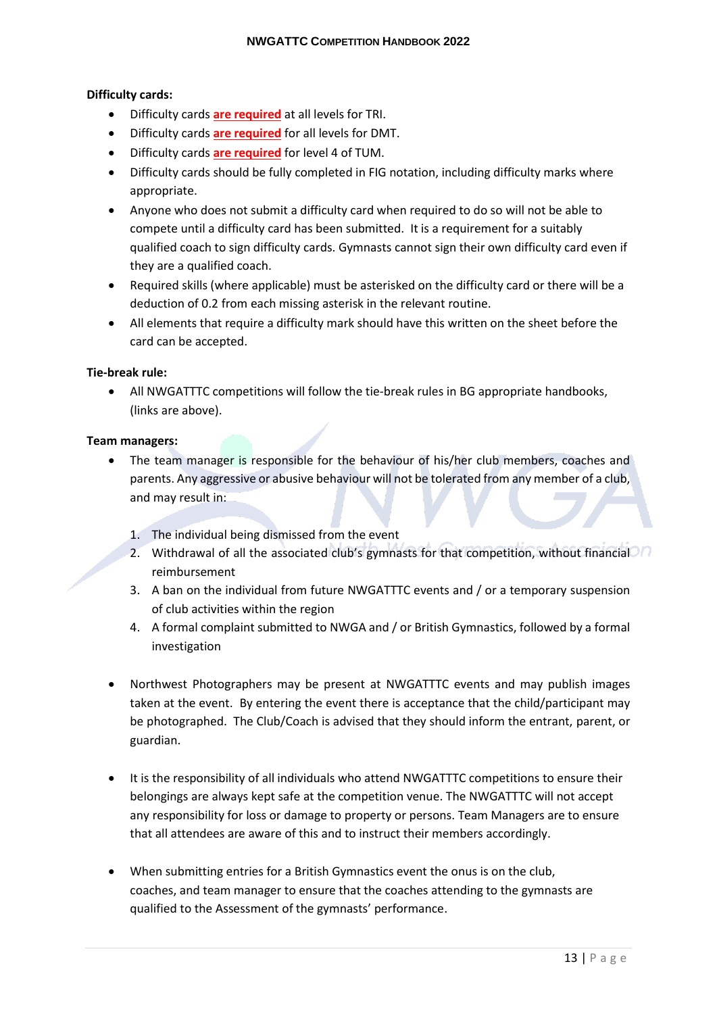#### <span id="page-13-0"></span>**Difficulty cards:**

- Difficulty cards **are required** at all levels for TRI.
- Difficulty cards **are required** for all levels for DMT.
- Difficulty cards **are required** for level 4 of TUM.
- Difficulty cards should be fully completed in FIG notation, including difficulty marks where appropriate.
- Anyone who does not submit a difficulty card when required to do so will not be able to compete until a difficulty card has been submitted. It is a requirement for a suitably qualified coach to sign difficulty cards. Gymnasts cannot sign their own difficulty card even if they are a qualified coach.
- Required skills (where applicable) must be asterisked on the difficulty card or there will be a deduction of 0.2 from each missing asterisk in the relevant routine.
- All elements that require a difficulty mark should have this written on the sheet before the card can be accepted.

#### <span id="page-13-1"></span>**Tie-break rule:**

• All NWGATTTC competitions will follow the tie-break rules in BG appropriate handbooks, (links are above).

#### <span id="page-13-2"></span>**Team managers:**

- The team manager is responsible for the behaviour of his/her club members, coaches and parents. Any aggressive or abusive behaviour will not be tolerated from any member of a club, and may result in:
	- 1. The individual being dismissed from the event
	- 2. Withdrawal of all the associated club's gymnasts for that competition, without financial reimbursement
	- 3. A ban on the individual from future NWGATTTC events and / or a temporary suspension of club activities within the region
	- 4. A formal complaint submitted to NWGA and / or British Gymnastics, followed by a formal investigation
- Northwest Photographers may be present at NWGATTTC events and may publish images taken at the event. By entering the event there is acceptance that the child/participant may be photographed. The Club/Coach is advised that they should inform the entrant, parent, or guardian.
- It is the responsibility of all individuals who attend NWGATTTC competitions to ensure their belongings are always kept safe at the competition venue. The NWGATTTC will not accept any responsibility for loss or damage to property or persons. Team Managers are to ensure that all attendees are aware of this and to instruct their members accordingly.
- When submitting entries for a British Gymnastics event the onus is on the club, coaches, and team manager to ensure that the coaches attending to the gymnasts are qualified to the Assessment of the gymnasts' performance.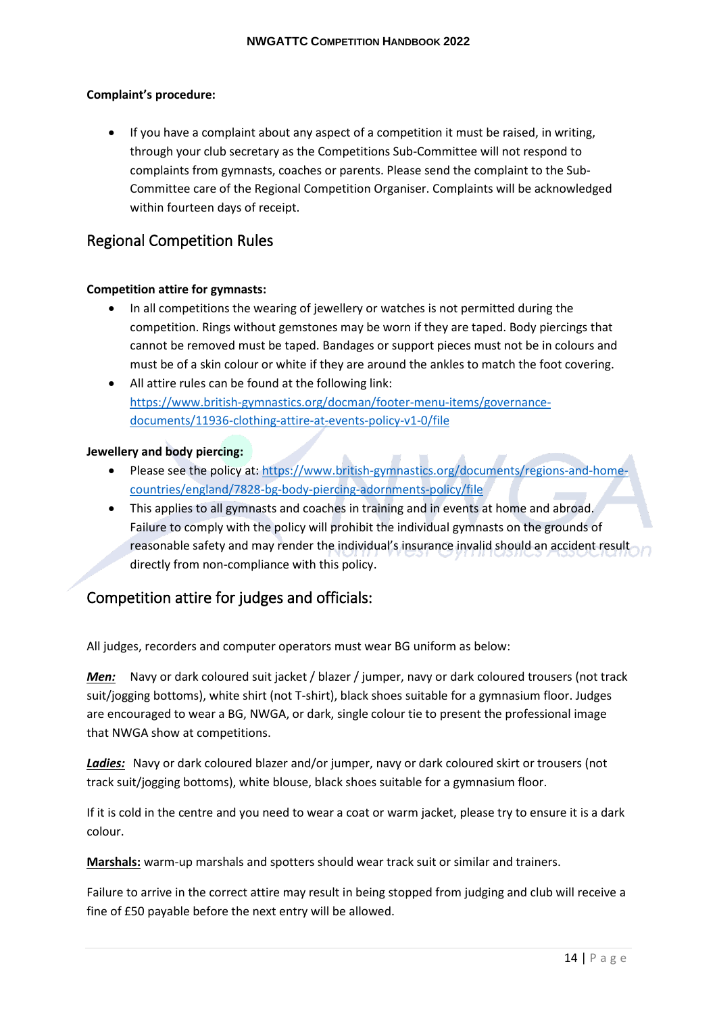#### <span id="page-14-0"></span>**Complaint's procedure:**

• If you have a complaint about any aspect of a competition it must be raised, in writing, through your club secretary as the Competitions Sub-Committee will not respond to complaints from gymnasts, coaches or parents. Please send the complaint to the Sub-Committee care of the Regional Competition Organiser. Complaints will be acknowledged within fourteen days of receipt.

### <span id="page-14-1"></span>Regional Competition Rules

#### <span id="page-14-2"></span>**Competition attire for gymnasts:**

- In all competitions the wearing of jewellery or watches is not permitted during the competition. Rings without gemstones may be worn if they are taped. Body piercings that cannot be removed must be taped. Bandages or support pieces must not be in colours and must be of a skin colour or white if they are around the ankles to match the foot covering.
- All attire rules can be found at the following link: https://www.british-gymnastics.org/docman/footer-menu-items/governancedocuments/11936-clothing-attire-at-events-policy-v1-0/file

#### <span id="page-14-3"></span>**Jewellery and body piercing:**

- Please see the policy at: https://www.british-gymnastics.org/documents/regions-and-homecountries/england/7828-bg-body-piercing-adornments-policy/file
- This applies to all gymnasts and coaches in training and in events at home and abroad. Failure to comply with the policy will prohibit the individual gymnasts on the grounds of reasonable safety and may render the individual's insurance invalid should an accident result directly from non-compliance with this policy.

## <span id="page-14-4"></span>Competition attire for judges and officials:

All judges, recorders and computer operators must wear BG uniform as below:

*Men:* Navy or dark coloured suit jacket / blazer / jumper, navy or dark coloured trousers (not track suit/jogging bottoms), white shirt (not T-shirt), black shoes suitable for a gymnasium floor. Judges are encouraged to wear a BG, NWGA, or dark, single colour tie to present the professional image that NWGA show at competitions.

*Ladies:* Navy or dark coloured blazer and/or jumper, navy or dark coloured skirt or trousers (not track suit/jogging bottoms), white blouse, black shoes suitable for a gymnasium floor.

If it is cold in the centre and you need to wear a coat or warm jacket, please try to ensure it is a dark colour.

**Marshals:** warm-up marshals and spotters should wear track suit or similar and trainers.

Failure to arrive in the correct attire may result in being stopped from judging and club will receive a fine of £50 payable before the next entry will be allowed.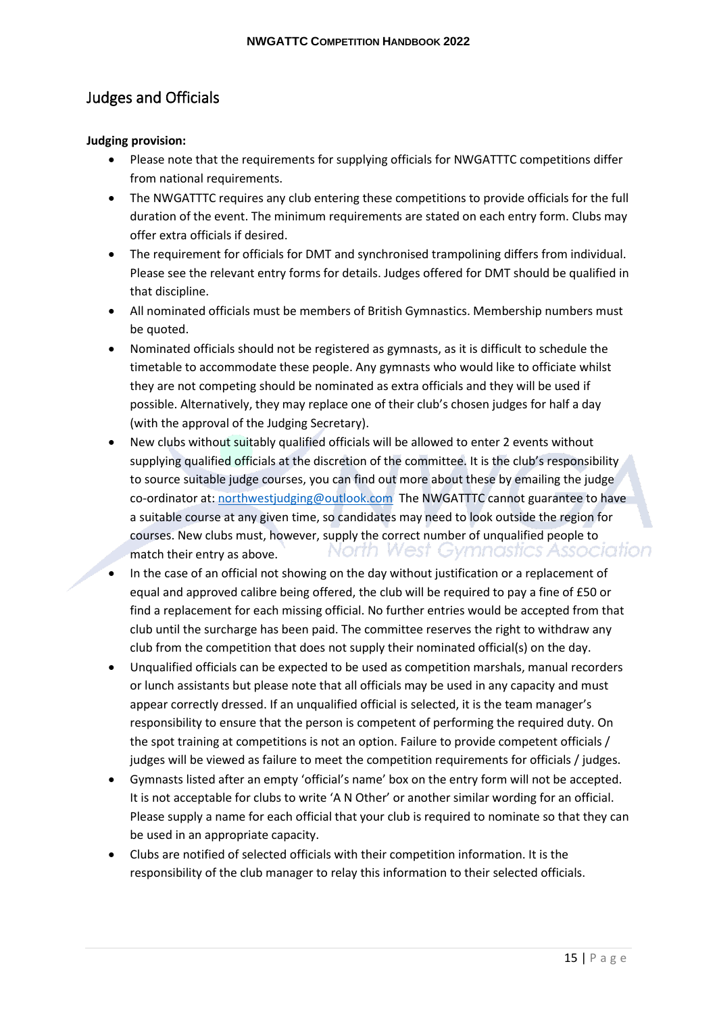## <span id="page-15-0"></span>Judges and Officials

#### <span id="page-15-1"></span>**Judging provision:**

- Please note that the requirements for supplying officials for NWGATTTC competitions differ from national requirements.
- The NWGATTTC requires any club entering these competitions to provide officials for the full duration of the event. The minimum requirements are stated on each entry form. Clubs may offer extra officials if desired.
- The requirement for officials for DMT and synchronised trampolining differs from individual. Please see the relevant entry forms for details. Judges offered for DMT should be qualified in that discipline.
- All nominated officials must be members of British Gymnastics. Membership numbers must be quoted.
- Nominated officials should not be registered as gymnasts, as it is difficult to schedule the timetable to accommodate these people. Any gymnasts who would like to officiate whilst they are not competing should be nominated as extra officials and they will be used if possible. Alternatively, they may replace one of their club's chosen judges for half a day (with the approval of the Judging Secretary).
- New clubs without suitably qualified officials will be allowed to enter 2 events without supplying qualified officials at the discretion of the committee. It is the club's responsibility to source suitable judge courses, you can find out more about these by emailing the judge co-ordinator at: northwestjudging@outlook.com The NWGATTTC cannot guarantee to have a suitable course at any given time, so candidates may need to look outside the region for courses. New clubs must, however, supply the correct number of unqualified people to North West Gymnastics Association match their entry as above.
- In the case of an official not showing on the day without justification or a replacement of equal and approved calibre being offered, the club will be required to pay a fine of £50 or find a replacement for each missing official. No further entries would be accepted from that club until the surcharge has been paid. The committee reserves the right to withdraw any club from the competition that does not supply their nominated official(s) on the day.
- Unqualified officials can be expected to be used as competition marshals, manual recorders or lunch assistants but please note that all officials may be used in any capacity and must appear correctly dressed. If an unqualified official is selected, it is the team manager's responsibility to ensure that the person is competent of performing the required duty. On the spot training at competitions is not an option. Failure to provide competent officials / judges will be viewed as failure to meet the competition requirements for officials / judges.
- Gymnasts listed after an empty 'official's name' box on the entry form will not be accepted. It is not acceptable for clubs to write 'A N Other' or another similar wording for an official. Please supply a name for each official that your club is required to nominate so that they can be used in an appropriate capacity.
- Clubs are notified of selected officials with their competition information. It is the responsibility of the club manager to relay this information to their selected officials.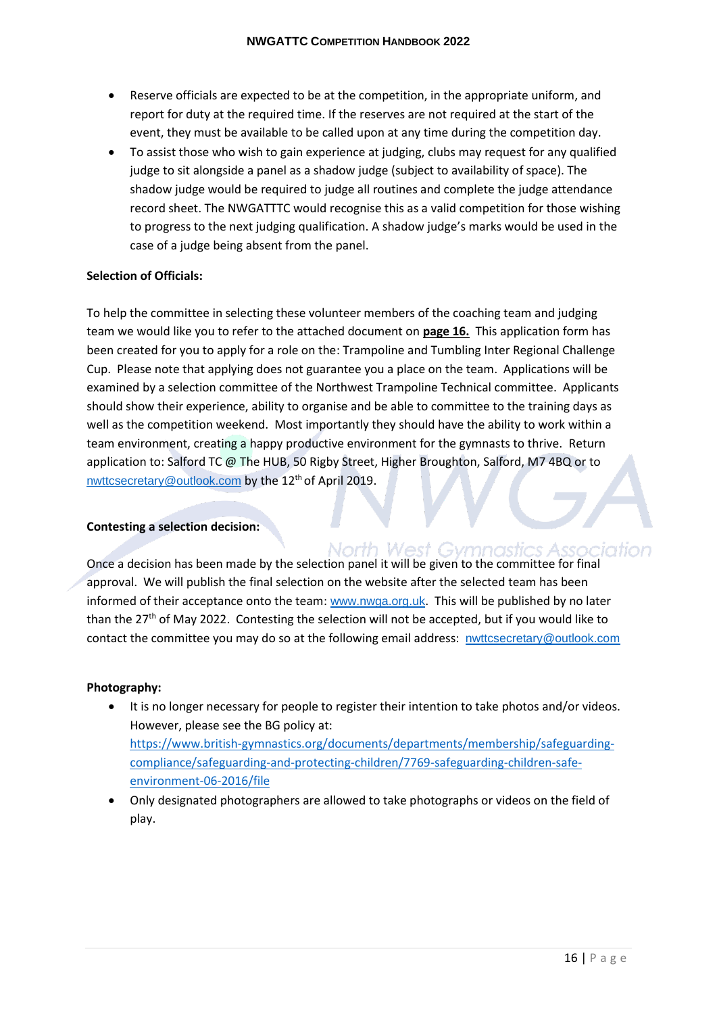- Reserve officials are expected to be at the competition, in the appropriate uniform, and report for duty at the required time. If the reserves are not required at the start of the event, they must be available to be called upon at any time during the competition day.
- To assist those who wish to gain experience at judging, clubs may request for any qualified judge to sit alongside a panel as a shadow judge (subject to availability of space). The shadow judge would be required to judge all routines and complete the judge attendance record sheet. The NWGATTTC would recognise this as a valid competition for those wishing to progress to the next judging qualification. A shadow judge's marks would be used in the case of a judge being absent from the panel.

#### <span id="page-16-0"></span>**Selection of Officials:**

To help the committee in selecting these volunteer members of the coaching team and judging team we would like you to refer to the attached document on **page 16.** This application form has been created for you to apply for a role on the: Trampoline and Tumbling Inter Regional Challenge Cup. Please note that applying does not guarantee you a place on the team. Applications will be examined by a selection committee of the Northwest Trampoline Technical committee. Applicants should show their experience, ability to organise and be able to committee to the training days as well as the competition weekend. Most importantly they should have the ability to work within a team environment, creating a happy productive environment for the gymnasts to thrive. Return application to: Salford TC @ The HUB, 50 Rigby Street, Higher Broughton, Salford, M7 4BQ or to nwttcsecretary@outlook.com by the 12<sup>th</sup> of April 2019.

#### <span id="page-16-1"></span>**Contesting a selection decision:**

North West Gymnastics Association Once a decision has been made by the selection panel it will be given to the committee for final approval. We will publish the final selection on the website after the selected team has been informed of their acceptance onto the team: www.nwga.org.uk. This will be published by no later than the 27<sup>th</sup> of May 2022. Contesting the selection will not be accepted, but if you would like to contact the committee you may do so at the following email address: nwttcsecretary@outlook.com

#### <span id="page-16-2"></span>**Photography:**

- It is no longer necessary for people to register their intention to take photos and/or videos. However, please see the BG policy at: https://www.british-gymnastics.org/documents/departments/membership/safeguardingcompliance/safeguarding-and-protecting-children/7769-safeguarding-children-safeenvironment-06-2016/file
- Only designated photographers are allowed to take photographs or videos on the field of play.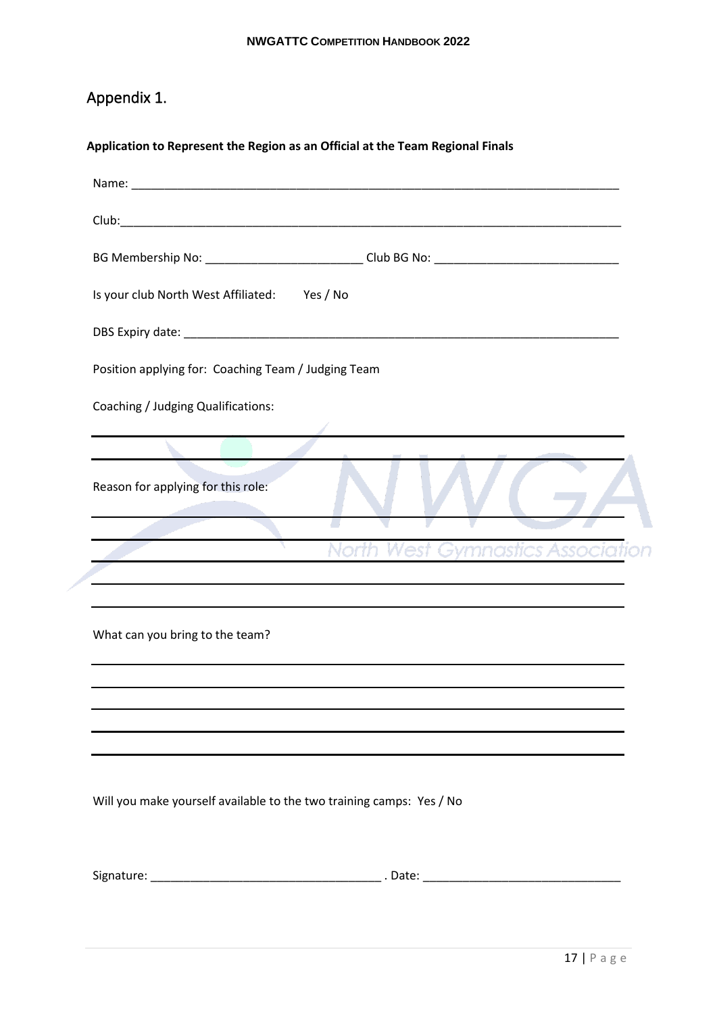# <span id="page-17-0"></span>Appendix 1.

### <span id="page-17-1"></span>**Application to Represent the Region as an Official at the Team Regional Finals**

|                                                     | BG Membership No: ____________________________Club BG No: ______________________ |
|-----------------------------------------------------|----------------------------------------------------------------------------------|
| Is your club North West Affiliated: Yes / No        |                                                                                  |
|                                                     |                                                                                  |
| Position applying for: Coaching Team / Judging Team |                                                                                  |
| Coaching / Judging Qualifications:                  |                                                                                  |
|                                                     |                                                                                  |
| Reason for applying for this role:                  |                                                                                  |
|                                                     | est Gymnastics Asso                                                              |
|                                                     |                                                                                  |
|                                                     |                                                                                  |
| What can you bring to the team?                     |                                                                                  |
|                                                     |                                                                                  |
|                                                     |                                                                                  |
|                                                     |                                                                                  |

Will you make yourself available to the two training camps: Yes / No

Signature: \_\_\_\_\_\_\_\_\_\_\_\_\_\_\_\_\_\_\_\_\_\_\_\_\_\_\_\_\_\_\_\_\_\_\_ . Date: \_\_\_\_\_\_\_\_\_\_\_\_\_\_\_\_\_\_\_\_\_\_\_\_\_\_\_\_\_\_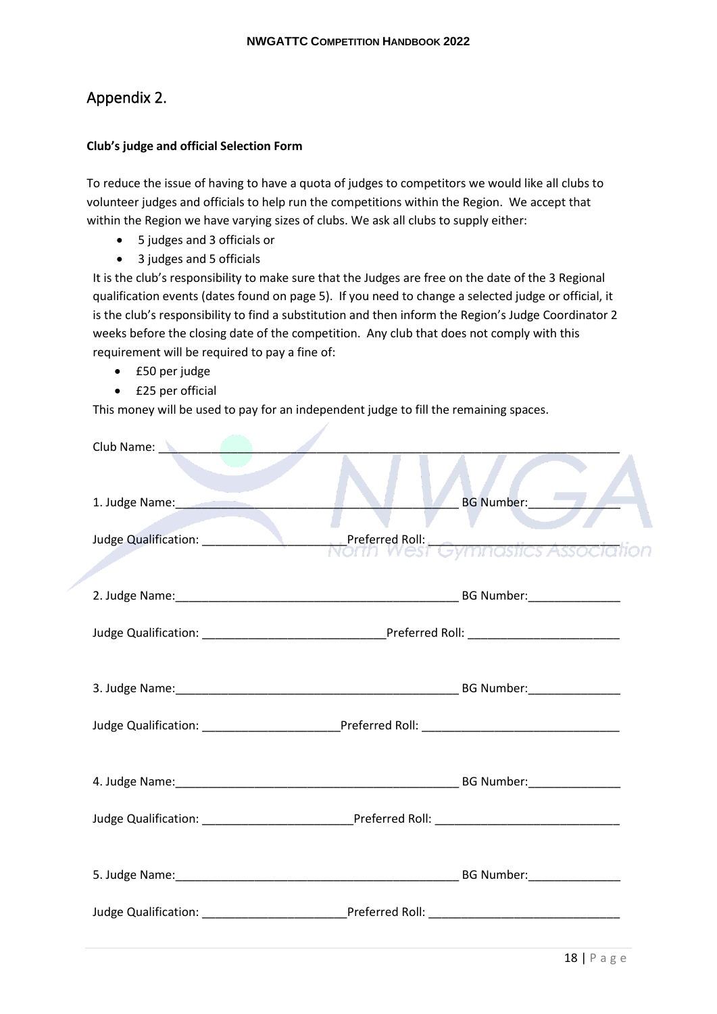### <span id="page-18-0"></span>Appendix 2.

#### <span id="page-18-1"></span>**Club's judge and official Selection Form**

To reduce the issue of having to have a quota of judges to competitors we would like all clubs to volunteer judges and officials to help run the competitions within the Region. We accept that within the Region we have varying sizes of clubs. We ask all clubs to supply either:

- 5 judges and 3 officials or
- 3 judges and 5 officials

It is the club's responsibility to make sure that the Judges are free on the date of the 3 Regional qualification events (dates found on page 5). If you need to change a selected judge or official, it is the club's responsibility to find a substitution and then inform the Region's Judge Coordinator 2 weeks before the closing date of the competition. Any club that does not comply with this requirement will be required to pay a fine of:

- £50 per judge
- £25 per official

This money will be used to pay for an independent judge to fill the remaining spaces.

| Club Name: New York 1989                                                                                        |            |
|-----------------------------------------------------------------------------------------------------------------|------------|
| 1. Judge Name: Manual Manual Manual Manual Manual Manual Manual Manual Manual Manual Manual Manual Manual Manua | BG Number: |
| Judge Qualification: __________________________Preferred Roll:<br>NOTIN West Gymnastics Association             |            |
|                                                                                                                 |            |
|                                                                                                                 |            |
|                                                                                                                 |            |
|                                                                                                                 |            |
|                                                                                                                 |            |
|                                                                                                                 |            |
|                                                                                                                 |            |